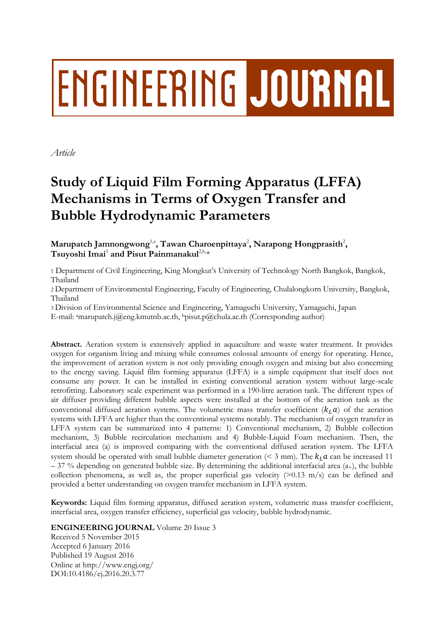# **ENGINEERING JOURNAL**

*Article*

## **Study of Liquid Film Forming Apparatus (LFFA) Mechanisms in Terms of Oxygen Transfer and Bubble Hydrodynamic Parameters**

Marupatch Jamnongwong<sup>1,a</sup>, Tawan Charoenpittaya<sup>2</sup>, Narapong Hongprasith<sup>2</sup>,  ${\rm T}$ suyoshi Imai $^3$  and Pisut Painmanakul $^{2,\text{b},\ast}$ 

1 Department of Civil Engineering, King Mongkut's University of Technology North Bangkok, Bangkok, Thailand

2 Department of Environmental Engineering, Faculty of Engineering, Chulalongkorn University, Bangkok, Thailand

3 Division of Environmental Science and Engineering, Yamaguchi University, Yamaguchi, Japan

E-mail: <sup>a</sup>marupatch.j@eng.kmutnb.ac.th, <sup>b</sup>pisut.p@chula.ac.th (Corresponding author)

**Abstract.** Aeration system is extensively applied in aquaculture and waste water treatment. It provides oxygen for organism living and mixing while consumes colossal amounts of energy for operating. Hence, the improvement of aeration system is not only providing enough oxygen and mixing but also concerning to the energy saving. Liquid film forming apparatus (LFFA) is a simple equipment that itself does not consume any power. It can be installed in existing conventional aeration system without large-scale retrofitting. Laboratory scale experiment was performed in a 190-litre aeration tank. The different types of air diffuser providing different bubble aspects were installed at the bottom of the aeration tank as the conventional diffused aeration systems. The volumetric mass transfer coefficient  $(k_l, a)$  of the aeration systems with LFFA are higher than the conventional systems notably. The mechanism of oxygen transfer in LFFA system can be summarized into 4 patterns: 1) Conventional mechanism, 2) Bubble collection mechanism, 3) Bubble recirculation mechanism and 4) Bubble-Liquid Foam mechanism. Then, the interfacial area (a) is improved comparing with the conventional diffused aeration system. The LFFA system should be operated with small bubble diameter generation ( $\leq$  3 mm). The  $k_L a$  can be increased 11  $-$  37 % depending on generated bubble size. By determining the additional interfacial area (a<sub>+</sub>), the bubble collection phenomena, as well as, the proper superficial gas velocity  $(>0.13 \text{ m/s})$  can be defined and provided a better understanding on oxygen transfer mechanism in LFFA system.

**Keywords:** Liquid film forming apparatus, diffused aeration system, volumetric mass transfer coefficient, interfacial area, oxygen transfer efficiency, superficial gas velocity, bubble hydrodynamic.

**ENGINEERING JOURNAL** Volume 20 Issue 3

Received 5 November 2015 Accepted 6 January 2016 Published 19 August 2016 Online at http://www.engj.org/ DOI:10.4186/ej.2016.20.3.77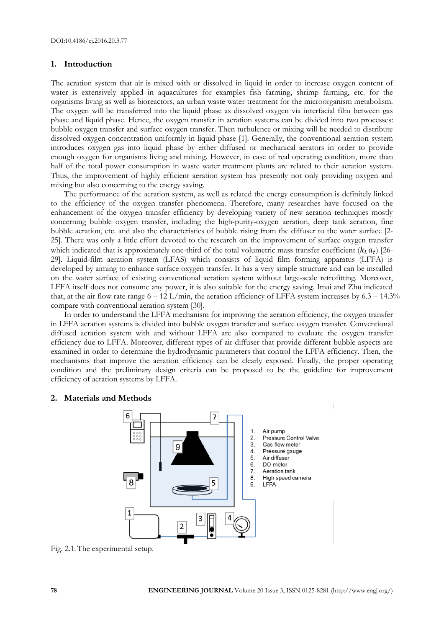#### **1. Introduction**

The aeration system that air is mixed with or dissolved in liquid in order to increase oxygen content of water is extensively applied in aquacultures for examples fish farming, shrimp farming, etc. for the organisms living as well as bioreactors, an urban waste water treatment for the microorganism metabolism. The oxygen will be transferred into the liquid phase as dissolved oxygen via interfacial film between gas phase and liquid phase. Hence, the oxygen transfer in aeration systems can be divided into two processes: bubble oxygen transfer and surface oxygen transfer. Then turbulence or mixing will be needed to distribute dissolved oxygen concentration uniformly in liquid phase [1]. Generally, the conventional aeration system introduces oxygen gas into liquid phase by either diffused or mechanical aerators in order to provide enough oxygen for organisms living and mixing. However, in case of real operating condition, more than half of the total power consumption in waste water treatment plants are related to their aeration system. Thus, the improvement of highly efficient aeration system has presently not only providing oxygen and mixing but also concerning to the energy saving.

The performance of the aeration system, as well as related the energy consumption is definitely linked to the efficiency of the oxygen transfer phenomena. Therefore, many researches have focused on the enhancement of the oxygen transfer efficiency by developing variety of new aeration techniques mostly concerning bubble oxygen transfer, including the high-purity-oxygen aeration, deep tank aeration, fine bubble aeration, etc. and also the characteristics of bubble rising from the diffuser to the water surface [2- 25]. There was only a little effort devoted to the research on the improvement of surface oxygen transfer which indicated that is approximately one-third of the total volumetric mass transfer coefficient ( $k_L a_t$ ) [26-29]. Liquid-film aeration system (LFAS) which consists of liquid film forming apparatus (LFFA) is developed by aiming to enhance surface oxygen transfer. It has a very simple structure and can be installed on the water surface of existing conventional aeration system without large-scale retrofitting. Moreover, LFFA itself does not consume any power, it is also suitable for the energy saving. Imai and Zhu indicated that, at the air flow rate range  $6 - 12$  L/min, the aeration efficiency of LFFA system increases by  $6.3 - 14.3\%$ compare with conventional aeration system [30].

In order to understand the LFFA mechanism for improving the aeration efficiency, the oxygen transfer in LFFA aeration systems is divided into bubble oxygen transfer and surface oxygen transfer. Conventional diffused aeration system with and without LFFA are also compared to evaluate the oxygen transfer efficiency due to LFFA. Moreover, different types of air diffuser that provide different bubble aspects are examined in order to determine the hydrodynamic parameters that control the LFFA efficiency. Then, the mechanisms that improve the aeration efficiency can be clearly exposed. Finally, the proper operating condition and the preliminary design criteria can be proposed to be the guideline for improvement efficiency of aeration systems by LFFA.

#### **2. Materials and Methods**



Fig. 2.1.The experimental setup.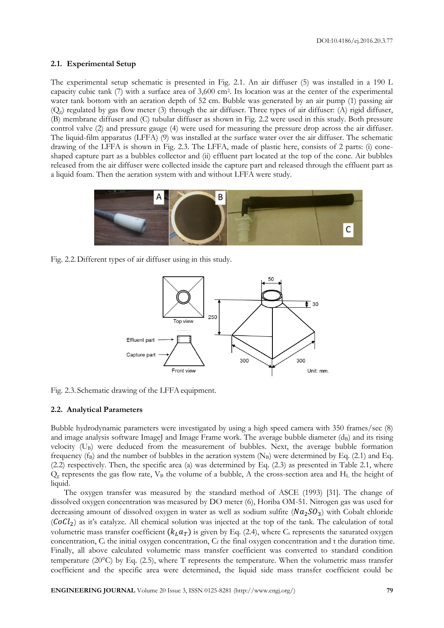#### **2.1. Experimental Setup**

The experimental setup schematic is presented in Fig. 2.1. An air diffuser (5) was installed in a 190 L capacity cubic tank (7) with a surface area of 3,600 cm<sup>2</sup> . Its location was at the center of the experimental water tank bottom with an aeration depth of 52 cm. Bubble was generated by an air pump (1) passing air  $(Q_g)$  regulated by gas flow meter (3) through the air diffuser. Three types of air diffuser: (A) rigid diffuser, (B) membrane diffuser and (C) tubular diffuser as shown in Fig. 2.2 were used in this study. Both pressure control valve (2) and pressure gauge (4) were used for measuring the pressure drop across the air diffuser. The liquid-film apparatus (LFFA) (9) was installed at the surface water over the air diffuser. The schematic drawing of the LFFA is shown in Fig. 2.3. The LFFA, made of plastic here, consists of 2 parts: (i) coneshaped capture part as a bubbles collector and (ii) effluent part located at the top of the cone. Air bubbles released from the air diffuser were collected inside the capture part and released through the effluent part as a liquid foam. Then the aeration system with and without LFFA were study.



Fig. 2.2.Different types of air diffuser using in this study.



Fig. 2.3. Schematic drawing of the LFFA equipment.

#### **2.2. Analytical Parameters**

Bubble hydrodynamic parameters were investigated by using a high speed camera with 350 frames/sec (8) and image analysis software ImageJ and Image Frame work. The average bubble diameter  $(d_B)$  and its rising velocity (UB) were deduced from the measurement of bubbles. Next, the average bubble formation frequency (f<sub>B</sub>) and the number of bubbles in the aeration system (N<sub>B</sub>) were determined by Eq. (2.1) and Eq. (2.2) respectively. Then, the specific area (a) was determined by Eq. (2.3) as presented in Table 2.1, where  $Q<sub>g</sub>$  represents the gas flow rate,  $V<sub>B</sub>$  the volume of a bubble, A the cross-section area and  $H<sub>L</sub>$  the height of liquid.

The oxygen transfer was measured by the standard method of ASCE (1993) [31]. The change of dissolved oxygen concentration was measured by DO meter (6), Horiba OM-51. Nitrogen gas was used for decreasing amount of dissolved oxygen in water as well as sodium sulfite  $(Na_2SO_3)$  with Cobalt chloride  $(CoCl<sub>2</sub>)$  as it's catalyze. All chemical solution was injected at the top of the tank. The calculation of total volumetric mass transfer coefficient  $(k_L a_T)$  is given by Eq. (2.4), where C<sub>s</sub> represents the saturated oxygen concentration,  $C_i$  the initial oxygen concentration,  $C_f$  the final oxygen concentration and t the duration time. Finally, all above calculated volumetric mass transfer coefficient was converted to standard condition temperature (20 $^{\circ}$ C) by Eq. (2.5), where T represents the temperature. When the volumetric mass transfer coefficient and the specific area were determined, the liquid side mass transfer coefficient could be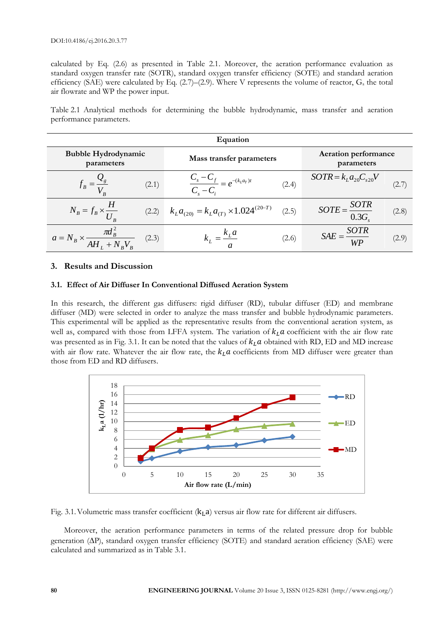calculated by Eq. (2.6) as presented in Table 2.1. Moreover, the aeration performance evaluation as standard oxygen transfer rate (SOTR), standard oxygen transfer efficiency (SOTE) and standard aeration efficiency (SAE) were calculated by Eq.  $(2.7)$ – $(2.9)$ . Where V represents the volume of reactor,  $G_s$  the total air flowrate and WP the power input.

Table 2.1 Analytical methods for determining the bubble hydrodynamic, mass transfer and aeration performance parameters.

| Equation                                         |       |                                                    |                                           |                                     |       |  |  |  |
|--------------------------------------------------|-------|----------------------------------------------------|-------------------------------------------|-------------------------------------|-------|--|--|--|
| <b>Bubble Hydrodynamic</b><br>parameters         |       | Mass transfer parameters                           | <b>Aeration performance</b><br>parameters |                                     |       |  |  |  |
| $f_B = \frac{v}{V_B}$                            | (2.1) | $\frac{C_s - C_f}{C_s - C_i} = e^{-(k_L a_T)t}$    | (2.4)                                     | $SOTR = kLa20Cs20V$                 | (2.7) |  |  |  |
| $N_B = f_B \times \frac{H}{U_B}$                 | (2.2) | $k_L a_{(20)} = k_L a_{(T)} \times 1.024^{(20-T)}$ | (2.5)                                     | $SOTE = \frac{SOTR}{0.3G_s}$        | (2.8) |  |  |  |
| $a = N_B \times \frac{\pi d_B^2}{AH_L + N_BV_R}$ | (2.3) | $K_L a$                                            | (2.6)                                     | $SAE = \frac{SOTR}{S}$<br><b>WP</b> | (2.9) |  |  |  |

### **3. Results and Discussion**

#### **3.1. Effect of Air Diffuser In Conventional Diffused Aeration System**

In this research, the different gas diffusers: rigid diffuser (RD), tubular diffuser (ED) and membrane diffuser (MD) were selected in order to analyze the mass transfer and bubble hydrodynamic parameters. This experimental will be applied as the representative results from the conventional aeration system, as well as, compared with those from LFFA system. The variation of  $k<sub>L</sub>a$  coefficient with the air flow rate was presented as in Fig. 3.1. It can be noted that the values of  $k<sub>L</sub>a$  obtained with RD, ED and MD increase with air flow rate. Whatever the air flow rate, the  $k<sub>L</sub> a$  coefficients from MD diffuser were greater than those from ED and RD diffusers.



Fig. 3.1. Volumetric mass transfer coefficient  $(k<sub>L</sub>a)$  versus air flow rate for different air diffusers.

Moreover, the aeration performance parameters in terms of the related pressure drop for bubble generation  $(\Delta P)$ , standard oxygen transfer efficiency (SOTE) and standard aeration efficiency (SAE) were calculated and summarized as in Table 3.1.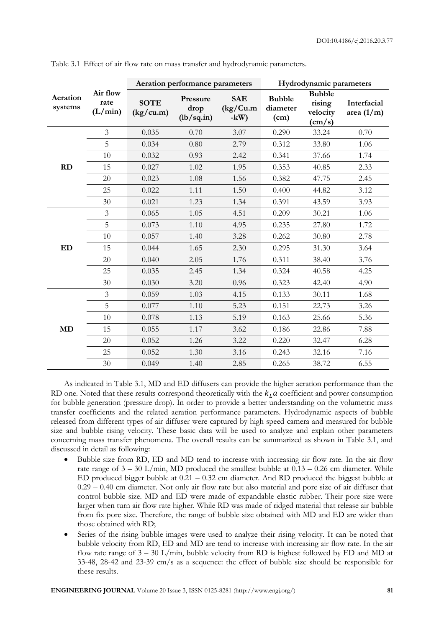|                     | Air flow<br>rate<br>(L/min) | Aeration performance parameters |                                |                                  | Hydrodynamic parameters           |                                                        |                             |
|---------------------|-----------------------------|---------------------------------|--------------------------------|----------------------------------|-----------------------------------|--------------------------------------------------------|-----------------------------|
| Aeration<br>systems |                             | <b>SOTE</b><br>(kg/cu.m)        | Pressure<br>drop<br>(lb/sq.in) | <b>SAE</b><br>(kg/Cu.m)<br>$-kW$ | <b>Bubble</b><br>diameter<br>(cm) | <b>Bubble</b><br>rising<br>velocity<br>$\text{(cm/s)}$ | Interfacial<br>area $(1/m)$ |
| <b>RD</b>           | $\mathfrak{Z}$              | 0.035                           | 0.70                           | 3.07                             | 0.290                             | 33.24                                                  | 0.70                        |
|                     | 5                           | 0.034                           | 0.80                           | 2.79                             | 0.312                             | 33.80                                                  | 1.06                        |
|                     | 10                          | 0.032                           | 0.93                           | 2.42                             | 0.341                             | 37.66                                                  | 1.74                        |
|                     | 15                          | 0.027                           | 1.02                           | 1.95                             | 0.353                             | 40.85                                                  | 2.33                        |
|                     | 20                          | 0.023                           | 1.08                           | 1.56                             | 0.382                             | 47.75                                                  | 2.45                        |
|                     | 25                          | 0.022                           | 1.11                           | 1.50                             | 0.400                             | 44.82                                                  | 3.12                        |
|                     | 30                          | 0.021                           | 1.23                           | 1.34                             | 0.391                             | 43.59                                                  | 3.93                        |
| ED                  | $\mathfrak{Z}$              | 0.065                           | 1.05                           | 4.51                             | 0.209                             | 30.21                                                  | 1.06                        |
|                     | 5                           | 0.073                           | 1.10                           | 4.95                             | 0.235                             | 27.80                                                  | 1.72                        |
|                     | 10                          | 0.057                           | 1.40                           | 3.28                             | 0.262                             | 30.80                                                  | 2.78                        |
|                     | 15                          | 0.044                           | 1.65                           | 2.30                             | 0.295                             | 31.30                                                  | 3.64                        |
|                     | 20                          | 0.040                           | 2.05                           | 1.76                             | 0.311                             | 38.40                                                  | 3.76                        |
|                     | 25                          | 0.035                           | 2.45                           | 1.34                             | 0.324                             | 40.58                                                  | 4.25                        |
|                     | 30                          | 0.030                           | 3.20                           | 0.96                             | 0.323                             | 42.40                                                  | 4.90                        |
| <b>MD</b>           | $\mathfrak{Z}$              | 0.059                           | 1.03                           | 4.15                             | 0.133                             | 30.11                                                  | 1.68                        |
|                     | 5                           | 0.077                           | 1.10                           | 5.23                             | 0.151                             | 22.73                                                  | 3.26                        |
|                     | 10                          | 0.078                           | 1.13                           | 5.19                             | 0.163                             | 25.66                                                  | 5.36                        |
|                     | 15                          | 0.055                           | 1.17                           | 3.62                             | 0.186                             | 22.86                                                  | 7.88                        |
|                     | 20                          | 0.052                           | 1.26                           | 3.22                             | 0.220                             | 32.47                                                  | 6.28                        |
|                     | 25                          | 0.052                           | 1.30                           | 3.16                             | 0.243                             | 32.16                                                  | 7.16                        |
|                     | 30                          | 0.049                           | 1.40                           | 2.85                             | 0.265                             | 38.72                                                  | 6.55                        |

Table 3.1 Effect of air flow rate on mass transfer and hydrodynamic parameters.

As indicated in Table 3.1, MD and ED diffusers can provide the higher aeration performance than the RD one. Noted that these results correspond theoretically with the  $k<sub>I</sub> a$  coefficient and power consumption for bubble generation (pressure drop). In order to provide a better understanding on the volumetric mass transfer coefficients and the related aeration performance parameters. Hydrodynamic aspects of bubble released from different types of air diffuser were captured by high speed camera and measured for bubble size and bubble rising velocity. These basic data will be used to analyze and explain other parameters concerning mass transfer phenomena. The overall results can be summarized as shown in Table 3.1, and discussed in detail as following:

- Bubble size from RD, ED and MD tend to increase with increasing air flow rate. In the air flow rate range of  $3 - 30$  L/min, MD produced the smallest bubble at  $0.13 - 0.26$  cm diameter. While ED produced bigger bubble at 0.21 – 0.32 cm diameter. And RD produced the biggest bubble at 0.29 – 0.40 cm diameter. Not only air flow rate but also material and pore size of air diffuser that control bubble size. MD and ED were made of expandable elastic rubber. Their pore size were larger when turn air flow rate higher. While RD was made of ridged material that release air bubble from fix pore size. Therefore, the range of bubble size obtained with MD and ED are wider than those obtained with RD;
- Series of the rising bubble images were used to analyze their rising velocity. It can be noted that bubble velocity from RD, ED and MD are tend to increase with increasing air flow rate. In the air flow rate range of  $3 - 30$  L/min, bubble velocity from RD is highest followed by ED and MD at 33-48, 28-42 and 23-39 cm/s as a sequence: the effect of bubble size should be responsible for these results.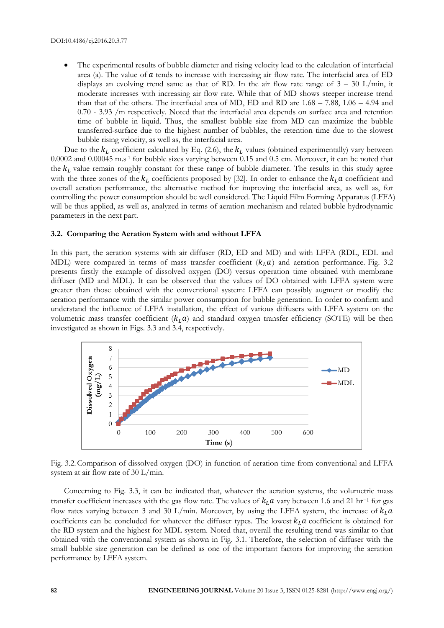The experimental results of bubble diameter and rising velocity lead to the calculation of interfacial area (a). The value of  $\alpha$  tends to increase with increasing air flow rate. The interfacial area of ED displays an evolving trend same as that of RD. In the air flow rate range of  $3 - 30$  L/min, it moderate increases with increasing air flow rate. While that of MD shows steeper increase trend than that of the others. The interfacial area of MD, ED and RD are 1.68 – 7.88, 1.06 – 4.94 and 0.70 - 3.93 /m respectively. Noted that the interfacial area depends on surface area and retention time of bubble in liquid. Thus, the smallest bubble size from MD can maximize the bubble transferred-surface due to the highest number of bubbles, the retention time due to the slowest bubble rising velocity, as well as, the interfacial area.

Due to the  $k_L$  coefficient calculated by Eq. (2.6), the  $k_L$  values (obtained experimentally) vary between 0.0002 and 0.00045 m.s-1 for bubble sizes varying between 0.15 and 0.5 cm. Moreover, it can be noted that the  $k<sub>L</sub>$  value remain roughly constant for these range of bubble diameter. The results in this study agree with the three zones of the  $k_l$  coefficients proposed by [32]. In order to enhance the  $k_l$  a coefficient and overall aeration performance, the alternative method for improving the interfacial area, as well as, for controlling the power consumption should be well considered. The Liquid Film Forming Apparatus (LFFA) will be thus applied, as well as, analyzed in terms of aeration mechanism and related bubble hydrodynamic parameters in the next part.

#### **3.2. Comparing the Aeration System with and without LFFA**

In this part, the aeration systems with air diffuser (RD, ED and MD) and with LFFA (RDL, EDL and MDL) were compared in terms of mass transfer coefficient  $(k_l, a)$  and aeration performance. Fig. 3.2 presents firstly the example of dissolved oxygen (DO) versus operation time obtained with membrane diffuser (MD and MDL). It can be observed that the values of DO obtained with LFFA system were greater than those obtained with the conventional system: LFFA can possibly augment or modify the aeration performance with the similar power consumption for bubble generation. In order to confirm and understand the influence of LFFA installation, the effect of various diffusers with LFFA system on the volumetric mass transfer coefficient  $(k_l, a)$  and standard oxygen transfer efficiency (SOTE) will be then investigated as shown in Figs. 3.3 and 3.4, respectively.



Fig. 3.2.Comparison of dissolved oxygen (DO) in function of aeration time from conventional and LFFA system at air flow rate of 30 L/min.

Concerning to Fig. 3.3, it can be indicated that, whatever the aeration systems, the volumetric mass transfer coefficient increases with the gas flow rate. The values of  $k_L a$  vary between 1.6 and 21 hr<sup>-1</sup> for gas flow rates varying between 3 and 30 L/min. Moreover, by using the LFFA system, the increase of  $k<sub>L</sub>a$ coefficients can be concluded for whatever the diffuser types. The lowest  $k_l$  a coefficient is obtained for the RD system and the highest for MDL system. Noted that, overall the resulting trend was similar to that obtained with the conventional system as shown in Fig. 3.1. Therefore, the selection of diffuser with the small bubble size generation can be defined as one of the important factors for improving the aeration performance by LFFA system.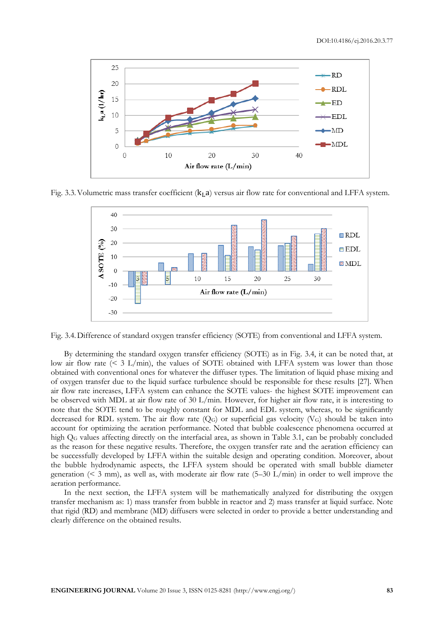

Fig. 3.3. Volumetric mass transfer coefficient  $(k<sub>L</sub>, a)$  versus air flow rate for conventional and LFFA system.



Fig. 3.4.Difference of standard oxygen transfer efficiency (SOTE) from conventional and LFFA system.

By determining the standard oxygen transfer efficiency (SOTE) as in Fig. 3.4, it can be noted that, at low air flow rate  $($   $\leq$  3 L/min), the values of SOTE obtained with LFFA system was lower than those obtained with conventional ones for whatever the diffuser types. The limitation of liquid phase mixing and of oxygen transfer due to the liquid surface turbulence should be responsible for these results [27]. When air flow rate increases, LFFA system can enhance the SOTE values- the highest SOTE improvement can be observed with MDL at air flow rate of 30 L/min. However, for higher air flow rate, it is interesting to note that the SOTE tend to be roughly constant for MDL and EDL system, whereas, to be significantly decreased for RDL system. The air flow rate  $(Q_G)$  or superficial gas velocity  $(V_G)$  should be taken into account for optimizing the aeration performance. Noted that bubble coalescence phenomena occurred at high Q<sub>G</sub> values affecting directly on the interfacial area, as shown in Table 3.1, can be probably concluded as the reason for these negative results. Therefore, the oxygen transfer rate and the aeration efficiency can be successfully developed by LFFA within the suitable design and operating condition. Moreover, about the bubble hydrodynamic aspects, the LFFA system should be operated with small bubble diameter generation ( $\leq$  3 mm), as well as, with moderate air flow rate (5-30 L/min) in order to well improve the aeration performance.

In the next section, the LFFA system will be mathematically analyzed for distributing the oxygen transfer mechanism as: 1) mass transfer from bubble in reactor and 2) mass transfer at liquid surface. Note that rigid (RD) and membrane (MD) diffusers were selected in order to provide a better understanding and clearly difference on the obtained results.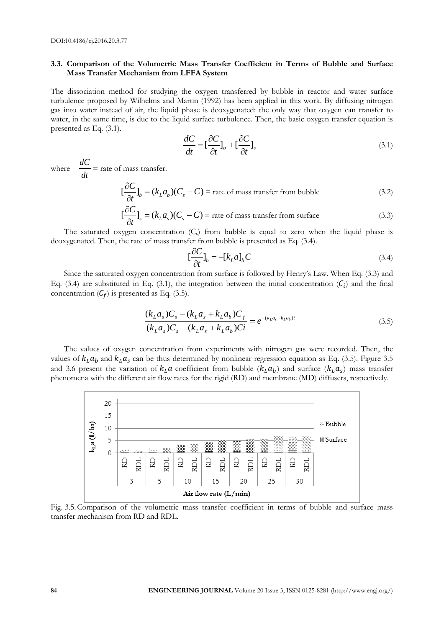#### **3.3. Comparison of the Volumetric Mass Transfer Coefficient in Terms of Bubble and Surface Mass Transfer Mechanism from LFFA System**

The dissociation method for studying the oxygen transferred by bubble in reactor and water surface turbulence proposed by Wilhelms and Martin (1992) has been applied in this work. By diffusing nitrogen gas into water instead of air, the liquid phase is deoxygenated: the only way that oxygen can transfer to water, in the same time, is due to the liquid surface turbulence. Then, the basic oxygen transfer equation is presented as Eq. (3.1).

$$
\frac{dC}{dt} = \left[\frac{\partial C}{\partial t}\right]_b + \left[\frac{\partial C}{\partial t}\right]_s\tag{3.1}
$$

where *dt dC* = rate of mass transfer.

$$
\left[\frac{\partial C}{\partial t}\right]_b = (k_L a_b)(C_s - C) = \text{rate of mass transfer from bubble}
$$
\n(3.2)

$$
\left[\frac{\partial C}{\partial t}\right]_{s} = (k_{L}a_{s})(C_{s} - C) = \text{rate of mass transfer from surface}
$$
\n(3.3)

The saturated oxygen concentration  $(C<sub>s</sub>)$  from bubble is equal to zero when the liquid phase is deoxygenated. Then, the rate of mass transfer from bubble is presented as Eq. (3.4).

$$
\left[\frac{\partial C}{\partial t}\right]_{b} = -[k_{L}a]_{b}C\tag{3.4}
$$

Since the saturated oxygen concentration from surface is followed by Henry's Law. When Eq. (3.3) and Eq. (3.4) are substituted in Eq. (3.1), the integration between the initial concentration  $(C_i)$  and the final concentration  $(C_f)$  is presented as Eq. (3.5).

$$
\frac{(k_L a_s)C_s - (k_L a_s + k_L a_b)C_f}{(k_L a_s)C_s - (k_L a_s + k_L a_b)C_i} = e^{-(k_L a_s + k_L a_b)t}
$$
\n(3.5)

The values of oxygen concentration from experiments with nitrogen gas were recorded. Then, the values of  $k_L a_p$  and  $k_L a_s$  can be thus determined by nonlinear regression equation as Eq. (3.5). Figure 3.5 and 3.6 present the variation of  $k_L a$  coefficient from bubble  $(k_L a_b)$  and surface  $(k_L a_s)$  mass transfer phenomena with the different air flow rates for the rigid (RD) and membrane (MD) diffusers, respectively.



Fig. 3.5.Comparison of the volumetric mass transfer coefficient in terms of bubble and surface mass transfer mechanism from RD and RDL.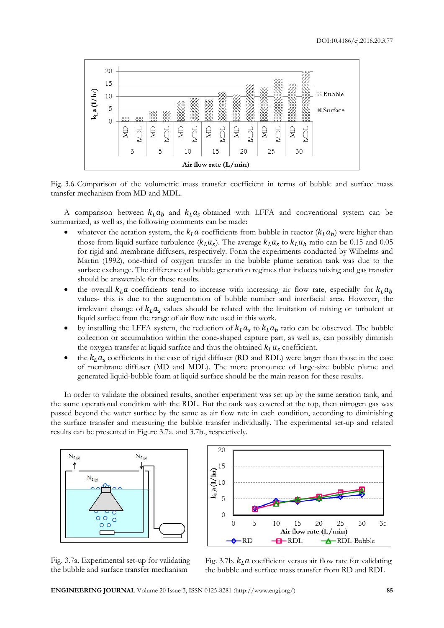

Fig. 3.6.Comparison of the volumetric mass transfer coefficient in terms of bubble and surface mass transfer mechanism from MD and MDL.

A comparison between  $k_l a_b$  and  $k_l a_s$  obtained with LFFA and conventional system can be summarized, as well as, the following comments can be made:

- whatever the aeration system, the  $k_L a$  coefficients from bubble in reactor  $(k_L a_b)$  were higher than those from liquid surface turbulence ( $k_L a_s$ ). The average  $k_L a_s$  to  $k_L a_b$  ratio can be 0.15 and 0.05 for rigid and membrane diffusers, respectively. Form the experiments conducted by Wilhelms and Martin (1992), one-third of oxygen transfer in the bubble plume aeration tank was due to the surface exchange. The difference of bubble generation regimes that induces mixing and gas transfer should be answerable for these results.
- the overall  $k<sub>L</sub>a$  coefficients tend to increase with increasing air flow rate, especially for  $k<sub>L</sub>a<sub>b</sub>$ values- this is due to the augmentation of bubble number and interfacial area. However, the irrelevant change of  $k_L a_s$  values should be related with the limitation of mixing or turbulent at liquid surface from the range of air flow rate used in this work.
- by installing the LFFA system, the reduction of  $k<sub>L</sub>a<sub>s</sub>$  to  $k<sub>L</sub>a<sub>b</sub>$  ratio can be observed. The bubble collection or accumulation within the cone-shaped capture part, as well as, can possibly diminish the oxygen transfer at liquid surface and thus the obtained  $k<sub>L</sub>a<sub>s</sub>$  coefficient.
- the  $k_l a_s$  coefficients in the case of rigid diffuser (RD and RDL) were larger than those in the case of membrane diffuser (MD and MDL). The more pronounce of large-size bubble plume and generated liquid-bubble foam at liquid surface should be the main reason for these results.

In order to validate the obtained results, another experiment was set up by the same aeration tank, and the same operational condition with the RDL. But the tank was covered at the top, then nitrogen gas was passed beyond the water surface by the same as air flow rate in each condition, according to diminishing the surface transfer and measuring the bubble transfer individually. The experimental set-up and related results can be presented in Figure 3.7a. and 3.7b., respectively.





Fig. 3.7a. Experimental set-up for validating the bubble and surface transfer mechanism

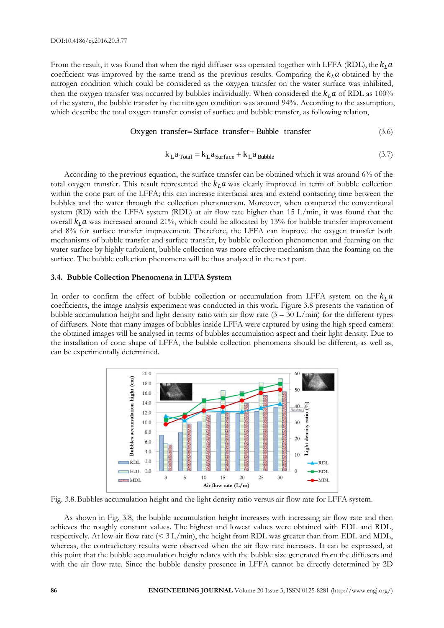From the result, it was found that when the rigid diffuser was operated together with LFFA (RDL), the  $k_L a$ coefficient was improved by the same trend as the previous results. Comparing the  $k_l a$  obtained by the nitrogen condition which could be considered as the oxygen transfer on the water surface was inhibited, then the oxygen transfer was occurred by bubbles individually. When considered the  $k_L a$  of RDL as 100% of the system, the bubble transfer by the nitrogen condition was around 94%. According to the assumption, which describe the total oxygen transfer consist of surface and bubble transfer, as following relation,

#### Oxygen transfer=Surface transfer+Bubble transfer (3.6)

$$
k_{\text{L}}a_{\text{Total}} = k_{\text{L}}a_{\text{Surface}} + k_{\text{L}}a_{\text{Bubble}} \tag{3.7}
$$

According to the previous equation, the surface transfer can be obtained which it was around 6% of the total oxygen transfer. This result represented the  $k<sub>L</sub>a$  was clearly improved in term of bubble collection within the cone part of the LFFA; this can increase interfacial area and extend contacting time between the bubbles and the water through the collection phenomenon. Moreover, when compared the conventional system (RD) with the LFFA system (RDL) at air flow rate higher than 15 L/min, it was found that the overall  $k_L a$  was increased around 21%, which could be allocated by 13% for bubble transfer improvement and 8% for surface transfer improvement. Therefore, the LFFA can improve the oxygen transfer both mechanisms of bubble transfer and surface transfer, by bubble collection phenomenon and foaming on the water surface by highly turbulent, bubble collection was more effective mechanism than the foaming on the surface. The bubble collection phenomena will be thus analyzed in the next part.

#### **3.4. Bubble Collection Phenomena in LFFA System**

In order to confirm the effect of bubble collection or accumulation from LFFA system on the  $k_L a$ coefficients, the image analysis experiment was conducted in this work. Figure 3.8 presents the variation of bubble accumulation height and light density ratio with air flow rate  $(3 - 30 \text{ L/min})$  for the different types of diffusers. Note that many images of bubbles inside LFFA were captured by using the high speed camera: the obtained images will be analysed in terms of bubbles accumulation aspect and their light density. Due to the installation of cone shape of LFFA, the bubble collection phenomena should be different, as well as, can be experimentally determined.



Fig. 3.8.Bubbles accumulation height and the light density ratio versus air flow rate for LFFA system.

As shown in Fig. 3.8, the bubble accumulation height increases with increasing air flow rate and then achieves the roughly constant values. The highest and lowest values were obtained with EDL and RDL, respectively. At low air flow rate (< 3 L/min), the height from RDL was greater than from EDL and MDL, whereas, the contradictory results were observed when the air flow rate increases. It can be expressed, at this point that the bubble accumulation height relates with the bubble size generated from the diffusers and with the air flow rate. Since the bubble density presence in LFFA cannot be directly determined by 2D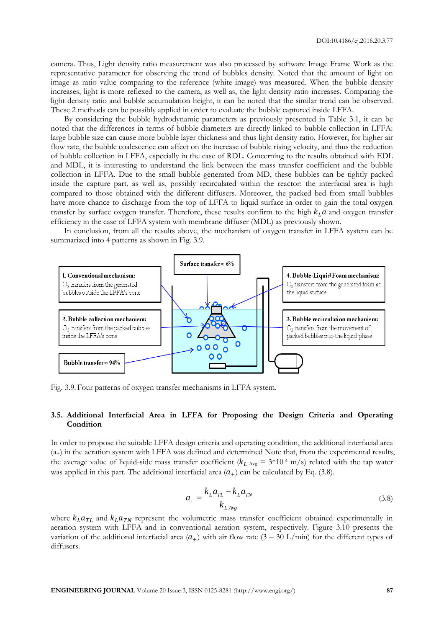camera. Thus, Light density ratio measurement was also processed by software Image Frame Work as the representative parameter for observing the trend of bubbles density. Noted that the amount of light on image as ratio value comparing to the reference (white image) was measured. When the bubble density increases, light is more reflexed to the camera, as well as, the light density ratio increases. Comparing the light density ratio and bubble accumulation height, it can be noted that the similar trend can be observed. These 2 methods can be possibly applied in order to evaluate the bubble captured inside LFFA.

By considering the bubble hydrodynamic parameters as previously presented in Table 3.1, it can be noted that the differences in terms of bubble diameters are directly linked to bubble collection in LFFA: large bubble size can cause more bubble layer thickness and thus light density ratio. However, for higher air flow rate, the bubble coalescence can affect on the increase of bubble rising velocity, and thus the reduction of bubble collection in LFFA, especially in the case of RDL. Concerning to the results obtained with EDL and MDL, it is interesting to understand the link between the mass transfer coefficient and the bubble collection in LFFA. Due to the small bubble generated from MD, these bubbles can be tightly packed inside the capture part, as well as, possibly recirculated within the reactor: the interfacial area is high compared to those obtained with the different diffusers. Moreover, the packed bed from small bubbles have more chance to discharge from the top of LFFA to liquid surface in order to gain the total oxygen transfer by surface oxygen transfer. Therefore, these results confirm to the high  $k<sub>L</sub> a$  and oxygen transfer efficiency in the case of LFFA system with membrane diffuser (MDL) as previously shown.

In conclusion, from all the results above, the mechanism of oxygen transfer in LFFA system can be summarized into 4 patterns as shown in Fig. 3.9.



Fig. 3.9.Four patterns of oxygen transfer mechanisms in LFFA system.

#### **3.5. Additional Interfacial Area in LFFA for Proposing the Design Criteria and Operating Condition**

In order to propose the suitable LFFA design criteria and operating condition, the additional interfacial area (a+) in the aeration system with LFFA was defined and determined Note that, from the experimental results, the average value of liquid-side mass transfer coefficient ( $k_{L \text{Avg}} = 3*10* \text{ m/s}$ ) related with the tap water was applied in this part. The additional interfacial area  $(a_{+})$  can be calculated by Eq. (3.8).

$$
a_{+} = \frac{k_{L}a_{TL} - k_{L}a_{TN}}{k_{LAvg}}
$$
(3.8)

where  $k_{\textit{L}} a_{\textit{TL}}$  and  $k_{\textit{L}} a_{\textit{TN}}$  represent the volumetric mass transfer coefficient obtained experimentally in aeration system with LFFA and in conventional aeration system, respectively. Figure 3.10 presents the variation of the additional interfacial area  $(a_{+})$  with air flow rate  $(3 - 30 \text{ L/min})$  for the different types of diffusers.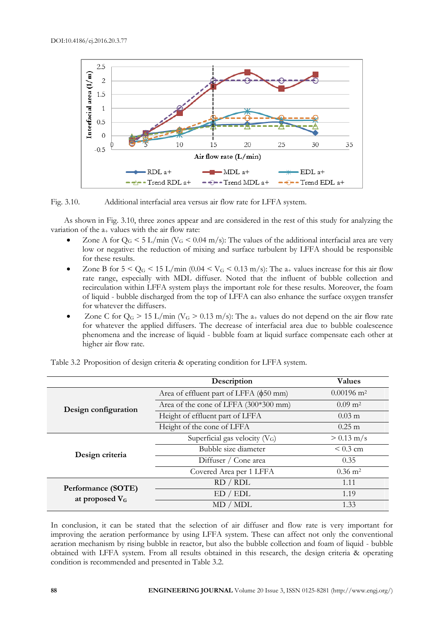

Fig. 3.10. Additional interfacial area versus air flow rate for LFFA system.

As shown in Fig. 3.10, three zones appear and are considered in the rest of this study for analyzing the variation of the  $a_{+}$  values with the air flow rate:

- Zone A for  $Q_G < 5$  L/min ( $V_G < 0.04$  m/s): The values of the additional interfacial area are very low or negative: the reduction of mixing and surface turbulent by LFFA should be responsible for these results.
- Zone B for  $5 < Q_G < 15$  L/min (0.04  $< V_G < 0.13$  m/s): The a<sub>+</sub> values increase for this air flow rate range, especially with MDL diffuser. Noted that the influent of bubble collection and recirculation within LFFA system plays the important role for these results. Moreover, the foam of liquid - bubble discharged from the top of LFFA can also enhance the surface oxygen transfer for whatever the diffusers.
- Zone C for  $Q_G$  > 15 L/min ( $V_G$  > 0.13 m/s): The  $a_+$  values do not depend on the air flow rate for whatever the applied diffusers. The decrease of interfacial area due to bubble coalescence phenomena and the increase of liquid - bubble foam at liquid surface compensate each other at higher air flow rate.

|                      | Description                            | <b>Values</b>            |
|----------------------|----------------------------------------|--------------------------|
|                      | Area of effluent part of LFFA (φ50 mm) | $0.00196$ m <sup>2</sup> |
| Design configuration | Area of the cone of LFFA (300*300 mm)  | $0.09 \text{ m}^2$       |
|                      | Height of effluent part of LFFA        | $0.03 \text{ m}$         |
|                      | Height of the cone of LFFA             | $0.25 \text{ m}$         |
|                      | Superficial gas velocity $(V_G)$       | $> 0.13$ m/s             |
| Design criteria      | Bubble size diameter                   | $< 0.3$ cm               |
|                      | Diffuser / Cone area                   | 0.35                     |
|                      | Covered Area per 1 LFFA                | $0.36 \; \mathrm{m}^2$   |
| Performance (SOTE)   | RD / RDL                               | 1.11                     |
| at proposed $V_G$    | ED / EDL                               | 1.19                     |
|                      | MD / MDL                               | 1.33                     |

Table 3.2 Proposition of design criteria & operating condition for LFFA system.

In conclusion, it can be stated that the selection of air diffuser and flow rate is very important for improving the aeration performance by using LFFA system. These can affect not only the conventional aeration mechanism by rising bubble in reactor, but also the bubble collection and foam of liquid - bubble obtained with LFFA system. From all results obtained in this research, the design criteria & operating condition is recommended and presented in Table 3.2.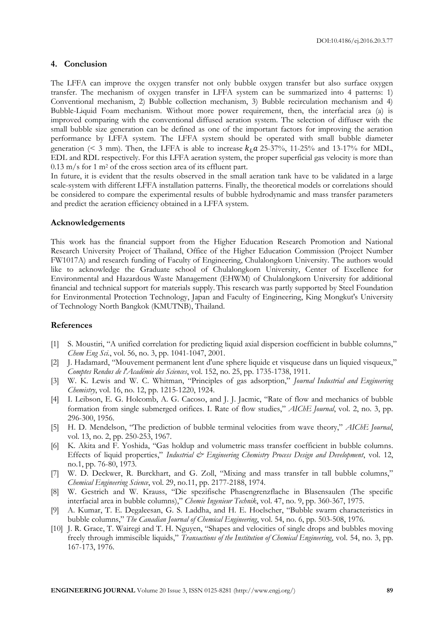#### **4. Conclusion**

The LFFA can improve the oxygen transfer not only bubble oxygen transfer but also surface oxygen transfer. The mechanism of oxygen transfer in LFFA system can be summarized into 4 patterns: 1) Conventional mechanism, 2) Bubble collection mechanism, 3) Bubble recirculation mechanism and 4) Bubble-Liquid Foam mechanism. Without more power requirement, then, the interfacial area (a) is improved comparing with the conventional diffused aeration system. The selection of diffuser with the small bubble size generation can be defined as one of the important factors for improving the aeration performance by LFFA system. The LFFA system should be operated with small bubble diameter generation (< 3 mm). Then, the LFFA is able to increase  $k<sub>L</sub> a$  25-37%, 11-25% and 13-17% for MDL, EDL and RDL respectively. For this LFFA aeration system, the proper superficial gas velocity is more than  $0.13$  m/s for 1 m<sup>2</sup> of the cross section area of its effluent part.

In future, it is evident that the results observed in the small aeration tank have to be validated in a large scale-system with different LFFA installation patterns. Finally, the theoretical models or correlations should be considered to compare the experimental results of bubble hydrodynamic and mass transfer parameters and predict the aeration efficiency obtained in a LFFA system.

#### **Acknowledgements**

This work has the financial support from the Higher Education Research Promotion and National Research University Project of Thailand, Office of the Higher Education Commission (Project Number FW1017A) and research funding of Faculty of Engineering, Chulalongkorn University. The authors would like to acknowledge the Graduate school of Chulalongkorn University, Center of Excellence for Environmental and Hazardous Waste Management (EHWM) of Chulalongkorn University for additional financial and technical support for materials supply. This research was partly supported by Steel Foundation for Environmental Protection Technology, Japan and Faculty of Engineering, King Mongkut's University of Technology North Bangkok (KMUTNB), Thailand.

#### **References**

- [1] S. Moustiri, "A unified correlation for predicting liquid axial dispersion coefficient in bubble columns," *Chem Eng Sci.*, vol. 56, no. 3, pp. 1041-1047, 2001.
- [2] J. Hadamard, "Mouvement permanent lent d'une sphere liquide et visqueuse dans un liquied visqueux," *Comptes Rendus de l'Académie des Sciences*, vol. 152, no. 25, pp. 1735-1738, 1911.
- [3] W. K. Lewis and W. C. Whitman, "Principles of gas adsorption," *Journal Industrial and Engineering Chemistry*, vol. 16, no. 12, pp. 1215-1220, 1924.
- [4] I. Leibson, E. G. Holcomb, A. G. Cacoso, and J. J. Jacmic, "Rate of flow and mechanics of bubble formation from single submerged orifices. I. Rate of flow studies," *AIChE Journal*, vol. 2, no. 3, pp. 296-300, 1956.
- [5] H. D. Mendelson, "The prediction of bubble terminal velocities from wave theory," *AIChE Journal*, vol. 13, no. 2, pp. 250-253, 1967.
- [6] K. Akita and F. Yoshida, "Gas holdup and volumetric mass transfer coefficient in bubble columns. Effects of liquid properties," Industrial & Engineering Chemistry Process Design and Development, vol. 12, no.1, pp. 76-80, 1973.
- [7] W. D. Deckwer, R. Burckhart, and G. Zoll, "Mixing and mass transfer in tall bubble columns," *Chemical Engineering Science*, vol. 29, no.11, pp. 2177-2188, 1974.
- [8] W. Gestrich and W. Krauss, "Die spezifische Phasengrenzflache in Blasensaulen (The specific interfacial area in bubble columns)," *Chemie Ingenieur Technik*, vol. 47, no. 9, pp. 360-367, 1975.
- [9] A. Kumar, T. E. Degaleesan, G. S. Laddha, and H. E. Hoelscher, "Bubble swarm characteristics in bubble columns," *The Canadian Journal of Chemical Engineering*, vol. 54, no. 6, pp. 503-508, 1976.
- [10] J. R. Grace, T. Wairegi and T. H. Nguyen, "Shapes and velocities of single drops and bubbles moving freely through immiscible liquids," *Transactions of the Institution of Chemical Engineering*, vol. 54, no. 3, pp. 167-173, 1976.